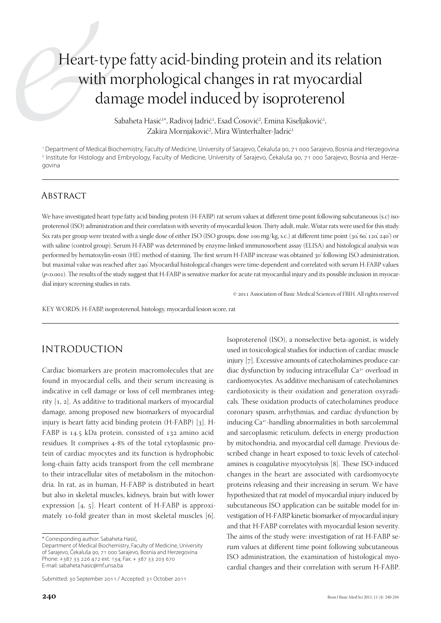# Heart-type fatty acid-binding protein and its relation with morphological changes in rat myocardial damage model induced by isoproterenol

Sabaheta Hasić<sup>1</sup>\*, Radivoj Jadrić<sup>1</sup>, Esad Čosović<sup>2</sup>, Emina Kiseljaković<sup>1</sup>, Zakira Mornjaković<sup>2</sup>, Mira Winterhalter-Jadrić<sup>1</sup>

1 Department of Medical Biochemistry, Faculty of Medicine, University of Sarajevo, Čekaluša 90, 71 000 Sarajevo, Bosnia and Herzegovina 2 Institute for Histology and Embryology, Faculty of Medicine, University of Sarajevo, Čekaluša 90, 71 000 Sarajevo, Bosnia and Herzegovina

### **ABSTRACT**

We have investigated heart type fatty acid binding protein (H-FABP) rat serum values at different time point following subcutaneous (s.c) isoproterenol (ISO) administration and their correlation with severity of myocardial lesion. Thirty adult, male, Wistar rats were used for this study. Six rats per group were treated with a single dose of either ISO (ISO groups, dose 100 mg/kg, s.c.) at different time point (30', 60', 120', 240') or with saline (control group). Serum H-FABP was determined by enzyme-linked immunosorbent assay (ELISA) and histological analysis was performed by hematoxylin-eosin (HE) method of staining. The first serum H-FABP increase was obtained 30' following ISO administration, but maximal value was reached after 240'. Myocardial histological changes were time-dependent and correlated with serum H-FABP values (*p*<0.001). The results of the study suggest that H-FABP is sensitive marker for acute rat myocardial injury and its possible inclusion in myocardial injury screening studies in rats.

© 2011 Association of Basic Medical Sciences of FBIH. All rights reserved

Isoproterenol (ISO), a nonselective beta-agonist, is widely used in toxicological studies for induction of cardiac muscle injury [7]. Excessive amounts of catecholamines produce car-

KEY WORDS: H-FABP, isoproterenol, histology, myocardial lesion score, rat

### Introduction

Cardiac biomarkers are protein macromolecules that are found in myocardial cells, and their serum increasing is indicative in cell damage or loss of cell membranes integrity [1, 2]. As additive to traditional markers of myocardial damage, among proposed new biomarkers of myocardial injury is heart fatty acid binding protein (H-FABP) [3]. H-FABP is 14.5 kDa protein, consisted of 132 amino acid residues. It comprises 4-8% of the total cytoplasmic protein of cardiac myocytes and its function is hydrophobic long-chain fatty acids transport from the cell membrane to their intracellular sites of metabolism in the mitochondria. In rat, as in human, H-FABP is distributed in heart but also in skeletal muscles, kidneys, brain but with lower expression [4, 5]. Heart content of H-FABP is approximately 10-fold greater than in most skeletal muscles [6]. diac dysfunction by inducing intracellular Ca<sup>2+</sup> overload in cardiomyocytes. As additive mechanisam of catecholamines cardiotoxicity is their oxidation and generation oxyradicals. These oxidation products of catecholamines produce coronary spasm, arrhythmias, and cardiac dysfunction by inducing Ca2+-handling abnormalities in both sarcolemmal and sarcoplasmic reticulum, defects in energy production by mitochondria, and myocardial cell damage. Previous described change in heart exposed to toxic levels of catecholamines is coagulative myocytolysis [8]. These ISO-induced changes in the heart are associated with cardiomyocyte proteins releasing and their increasing in serum. We have hypothesized that rat model of myocardial injury induced by subcutaneous ISO application can be suitable model for investigation of H-FABP kinetic biomarker of myocardial injury and that H-FABP correlates with myocardial lesion severity. The aims of the study were: investigation of rat H-FABP serum values at different time point following subcutaneous ISO administration, the examination of histological myocardial changes and their correlation with serum H-FABP.

<sup>\*</sup> Corresponding author: Sabaheta Hasić,

Department of Medical Biochemistry, Faculty of Medicine, University of Sarajevo, Čekaluša 90, 71 000 Sarajevo, Bosnia and Herzegovina Phone: +387 33 226 472 ext. 134; Fax: + 387 33 203 670 E-mail: sabaheta.hasic@mf.unsa.ba

Submitted: 30 September 2011 / Accepted: 31 October 2011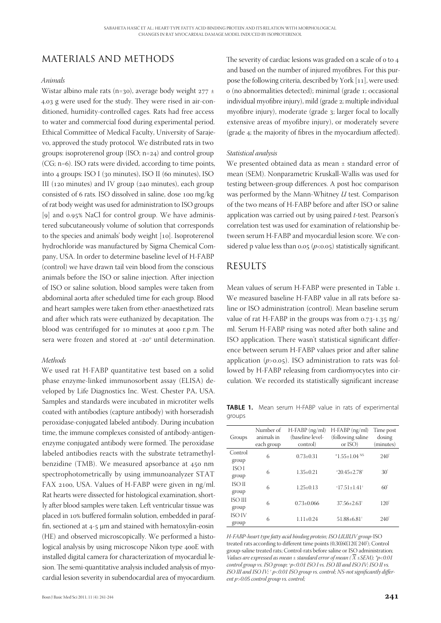# MaterialS and Methods

#### *Animals*

Wistar albino male rats (n=30), average body weight  $277 \pm$ 4.03 g were used for the study. They were rised in air-conditioned, humidity-controlled cages. Rats had free access to water and commercial food during experimental period. Ethical Committee of Medical Faculty, University of Sarajevo, approved the study protocol. We distributed rats in two groups: isoproterenol group (ISO; n=24) and control group (CG; n=6). ISO rats were divided, according to time points, into 4 groups: ISO I (30 minutes), ISO II (60 minutes), ISO III (120 minutes) and IV group (240 minutes), each group consisted of 6 rats. ISO dissolved in saline, dose 100 mg/kg of rat body weight was used for administration to ISO groups [9] and 0.95% NaCl for control group. We have administered subcutaneously volume of solution that corresponds to the species and animals' body weight [10]. Isoproterenol hydrochloride was manufactured by Sigma Chemical Company, USA. In order to determine baseline level of H-FABP (control) we have drawn tail vein blood from the conscious animals before the ISO or saline injection. After injection of ISO or saline solution, blood samples were taken from abdominal aorta after scheduled time for each group. Blood and heart samples were taken from ether-anaesthetized rats and after which rats were euthanized by decapitation. The blood was centrifuged for 10 minutes at 4000 r.p.m. The sera were frozen and stored at -20° until determination.

#### *Methods*

We used rat H-FABP quantitative test based on a solid phase enzyme-linked immunosorbent assay (ELISA) developed by Life Diagnostics Inc. West. Chester PA, USA. Samples and standards were incubated in microtiter wells coated with antibodies (capture antibody) with horseradish peroxidase-conjugated labeled antibody. During incubation time, the immune complexes consisted of antibody-antigenenzyme conjugated antibody were formed. The peroxidase labeled antibodies reacts with the substrate tetramethylbenzidine (TMB). We measured apsorbance at 450 nm spectrophotometrically by using immunoanalyzer STAT FAX 2100, USA. Values of H-FABP were given in ng/ml. Rat hearts were dissected for histological examination, shortly after blood samples were taken. Left ventricular tissue was placed in 10% buffered formalin solution, embedded in paraffin, sectioned at 4-5 μm and stained with hematoxylin-eosin (HE) and observed microscopically. We performed a histological analysis by using microscope Nikon type 400E with installed digital camera for characterization of myocardial lesion. The semi-quantitative analysis included analysis of myocardial lesion severity in subendocardial area of myocardium.

The severity of cardiac lesions was graded on a scale of 0 to 4 and based on the number of injured myofibres. For this purpose the following criteria, described by York [11], were used: 0 (no abnormalities detected); minimal (grade 1; occasional individual myofibre injury), mild (grade 2; multiple individual myofibre injury), moderate (grade 3; larger focal to locally extensive areas of myofibre injury), or moderately severe (grade 4; the majority of fibres in the myocardium affected).

#### *Statistical analysis*

We presented obtained data as mean ± standard error of mean (SEM). Nonparametric Kruskall-Wallis was used for testing between-group differences. A post hoc comparison was performed by the Mann-Whitney *U* test. Comparison of the two means of H-FABP before and after ISO or saline application was carried out by using paired *t*-test. Pearson's correlation test was used for examination of relationship between serum H-FABP and myocardial lesion score. We considered p value less than  $0.05$  ( $p<0.05$ ) statistically significant.

### **RESULTS**

Mean values of serum H-FABP were presented in Table 1. We measured baseline H-FABP value in all rats before saline or ISO administration (control). Mean baseline serum value of rat H-FABP in the groups was from 0.73-1.35 ng/ ml. Serum H-FABP rising was noted after both saline and ISO application. There wasn't statistical significant difference between serum H-FABP values prior and after saline application (*p*>0.05). ISO administration to rats was followed by H-FABP releasing from cardiomyocytes into circulation. We recorded its statistically significant increase

**Table 1.** Mean serum H-FABP value in rats of experimental groups

| Groups           | Number of<br>animals in<br>each group | $H-FABP$ (ng/ml)<br>(baseline level-<br>control) | $H$ -FABP ( $ng/ml$ )<br>(following saline)<br>or $ISO)$ | Time post<br>dosing<br>(minutes) |
|------------------|---------------------------------------|--------------------------------------------------|----------------------------------------------------------|----------------------------------|
| Control<br>group | 6                                     | $0.73+0.31$                                      | * $1.55 \pm 1.04$ NS                                     | 240'                             |
| ISO I<br>group   | 6                                     | $1.35 + 0.21$                                    | $*20.45 + 2.78$                                          | 30'                              |
| ISO II<br>group  | 6                                     | $1.25 \pm 0.13$                                  | $*17.51 + 1.41$ <sup>+</sup>                             | 60'                              |
| ISO III<br>group | 6                                     | $0.73+0.066$                                     | $37.56 + 2.63$ <sup>+</sup>                              | 120'                             |
| ISO IV<br>group  | 6                                     | $1.11 + 0.24$                                    | $51.88 + 6.81$ <sup>+</sup>                              | 240'                             |

*H-FABP-heart type fatty acid binding protein; ISO I,II,III,IV group-*ISO treated rats according to different time points (0,30',60',120', 240'); Control group-saline treated rats; Control-rats before saline or ISO administration; *Values are expressed as mean*  $\pm$  *standard error of mean* ( $\overline{X}$   $\pm$  *SEM)*;  $\overline{Y}$  $\lt$  *p* $\lt$ *0.01 control group vs. ISO group;* <sup>h</sup> *p<0.01 ISO I vs. ISO III and ISO IV; ISO II vs. ISO III and ISO IV; † p<0.01 ISO group vs. control; NS-not significantly different p>0.05 control group vs. control;*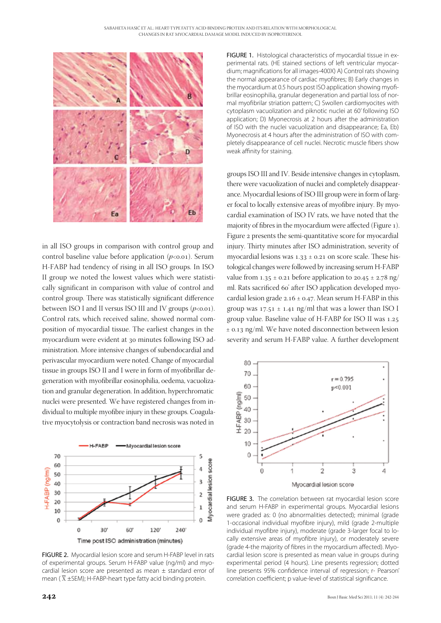

in all ISO groups in comparison with control group and control baseline value before application  $(p<0.01)$ . Serum H-FABP had tendency of rising in all ISO groups. In ISO II group we noted the lowest values which were statistically significant in comparison with value of control and control group. There was statistically significant difference between ISO I and II versus ISO III and IV groups  $(p<0.01)$ . Control rats, which received saline, showed normal composition of myocardial tissue. The earliest changes in the myocardium were evident at 30 minutes following ISO administration. More intensive changes of subendocardial and perivascular myocardium were noted. Change of myocardial tissue in groups ISO II and I were in form of myofibrillar degeneration with myofibrillar eosinophilia, oedema, vacuolization and granular degeneration. In addition, hyperchromatic nuclei were presented. We have registered changes from individual to multiple myofibre injury in these groups. Coagulative myocytolysis or contraction band necrosis was noted in



FIGURE 2. Myocardial lesion score and serum H-FABP level in rats of experimental groups. Serum H-FABP value (ng/ml) and myocardial lesion score are presented as mean  $\pm$  standard error of mean ( $\overline{X}$  ±SEM); H-FABP-heart type fatty acid binding protein.

FIGURE 1. Histological characteristics of myocardial tissue in experimental rats. (HE stained sections of left ventricular myocardium; magnifications for all images-400X) A) Control rats showing the normal appearance of cardiac myofibres; B) Early changes in the myocardium at 0.5 hours post ISO application showing myofibrillar eosinophilia, granular degeneration and partial loss of normal myofibrilar striation pattern; C) Swollen cardiomyocites with cytoplasm vacuolization and piknotic nuclei at 60' following ISO application; D) Myonecrosis at 2 hours after the administration of ISO with the nuclei vacuolization and disappearance; Ea, Eb) Myonecrosis at 4 hours after the administration of ISO with completely disappearance of cell nuclei. Necrotic muscle fibers show weak affinity for staining.

groups ISO III and IV. Beside intensive changes in cytoplasm, there were vacuolization of nuclei and completely disappearance. Myocardial lesions of ISO III group were in form of larger focal to locally extensive areas of myofibre injury. By myocardial examination of ISO IV rats, we have noted that the majority of fibres in the myocardium were affected (Figure 1). Figure 2 presents the semi-quantitative score for myocardial injury. Thirty minutes after ISO administration, severity of myocardial lesions was  $1.33 \pm 0.21$  on score scale. These histological changes were followed by increasing serum H-FABP value from 1.35  $\pm$  0.21 before application to 20.45  $\pm$  2.78 ng/ ml. Rats sacrificed 60' after ISO application developed myocardial lesion grade  $2.16 \pm 0.47$ . Mean serum H-FABP in this group was  $17.51 \pm 1.41$  ng/ml that was a lower than ISO I group value. Baseline value of H-FABP for ISO II was 1.25 ± 0.13 ng/ml. We have noted disconnection between lesion severity and serum H-FABP value. A further development



FIGURE 3. The correlation between rat myocardial lesion score and serum H-FABP in experimental groups. Myocardial lesions were graded as: 0 (no abnormalities detected); minimal (grade 1-occasional individual myofibre injury), mild (grade 2-multiple individual myofibre injury), moderate (grade 3-larger focal to locally extensive areas of myofibre injury), or moderately severe (grade 4-the majority of fibres in the myocardium affected). Myocardial lesion score is presented as mean value in groups during experimental period (4 hours). Line presents regression; dotted line presents 95% confidence interval of regression; r- Pearson' correlation coefficient; p value-level of statistical significance.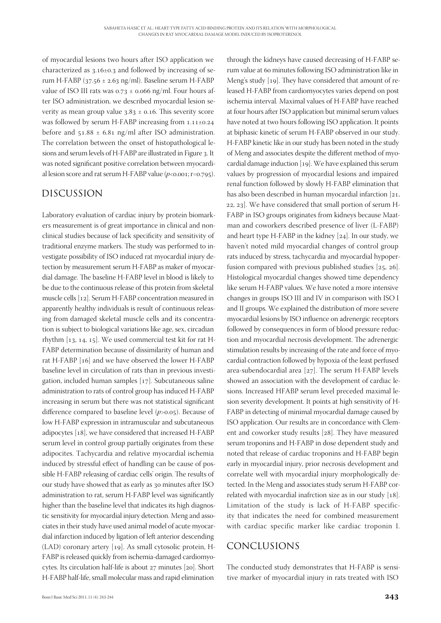through the kidneys have caused decreasing of H-FABP serum value at 60 minutes following ISO administration like in Meng's study [19]. They have considered that amount of released H-FABP from cardiomyocytes varies depend on post ischemia interval. Maximal values of H-FABP have reached at four hours after ISO application but minimal serum values have noted at two hours following ISO application. It points at biphasic kinetic of serum H-FABP observed in our study. H-FABP kinetic like in our study has been noted in the study of Meng and associates despite the different method of myocardial damage induction [19]. We have explained this serum values by progression of myocardial lesions and impaired renal function followed by slowly H-FABP elimination that has also been described in human myocardial infarction [21, 22, 23]. We have considered that small portion of serum H-FABP in ISO groups originates from kidneys because Maatman and coworkers described presence of liver (L-FABP) and heart type H-FABP in the kidney [24]. In our study, we haven't noted mild myocardial changes of control group rats induced by stress, tachycardia and myocardial hypoperfusion compared with previous published studies [25, 26]. Histological myocardial changes showed time dependency like serum H-FABP values. We have noted a more intensive changes in groups ISO III and IV in comparison with ISO I and II groups. We explained the distribution of more severe

of myocardial lesions two hours after ISO application we characterized as 3.16±0.3 and followed by increasing of serum H-FABP ( $37.56 \pm 2.63$  ng/ml). Baseline serum H-FABP value of ISO III rats was  $0.73 \pm 0.066$  ng/ml. Four hours after ISO administration, we described myocardial lesion severity as mean group value  $3.83 \pm 0.16$ . This severity score was followed by serum H-FABP increasing from 1.11±0.24 before and  $51.88 \pm 6.81$  ng/ml after ISO administration. The correlation between the onset of histopathological lesions and serum levels of H-FABP are illustrated in Figure 3. It was noted significant positive correlation between myocardial lesion score and rat serum H-FABP value ( $p$ <0.001; r=0.795).

# Discussion

Laboratory evaluation of cardiac injury by protein biomarkers measurement is of great importance in clinical and nonclinical studies because of lack specificity and sensitivity of traditional enzyme markers. The study was performed to investigate possibility of ISO induced rat myocardial injury detection by measurement serum H-FABP as maker of myocardial damage. The baseline H-FABP level in blood is likely to be due to the continuous release of this protein from skeletal muscle cells [12]. Serum H-FABP concentration measured in apparently healthy individuals is result of continuous releasing from damaged skeletal muscle cells and its concentration is subject to biological variations like age, sex, circadian rhythm [13, 14, 15]. We used commercial test kit for rat H-FABP determination because of dissimilarity of human and rat H-FABP [16] and we have observed the lower H-FABP baseline level in circulation of rats than in previous investigation, included human samples [17]. Subcutaneous saline administration to rats of control group has induced H-FABP increasing in serum but there was not statistical significant difference compared to baseline level (*p*>0.05). Because of low H-FABP expression in intramuscular and subcutaneous adipocytes [18], we have considered that increased H-FABP serum level in control group partially originates from these adipocites. Tachycardia and relative myocardial ischemia induced by stressful effect of handling can be cause of possible H-FABP releasing of cardiac cells' origin. The results of our study have showed that as early as 30 minutes after ISO administration to rat, serum H-FABP level was significantly higher than the baseline level that indicates its high diagnostic sensitivity for myocardial injury detection. Meng and associates in their study have used animal model of acute myocardial infarction induced by ligation of left anterior descending (LAD) coronary artery [19]. As small cytosolic protein, H-FABP is released quickly from ischemia-damaged cardiomyocytes. Its circulation half-life is about 27 minutes [20]. Short H-FABP half-life, small molecular mass and rapid elimination

Bosn J Basic Med Sci 2011; 11 (4): 243-244 **243** myocardial lesions by ISO influence on adrenergic receptors followed by consequences in form of blood pressure reduction and myocardial necrosis development. The adrenergic stimulation results by increasing of the rate and force of myocardial contraction followed by hypoxia of the least perfused area-subendocardial area [27]. The serum H-FABP levels showed an association with the development of cardiac lesions. Increased HFABP serum level preceded maximal lesion severity development. It points at high sensitivity of H-FABP in detecting of minimal myocardial damage caused by ISO application. Our results are in concordance with Clement and coworker study results [28]. They have measured serum troponins and H-FABP in dose dependent study and noted that release of cardiac troponins and H-FABP begin early in myocardial injury, prior necrosis development and correlate well with myocardial injury morphologically detected. In the Meng and associates study serum H-FABP correlated with myocardial inafrction size as in our study [18]. Limitation of the study is lack of H-FABP specificity that indicates the need for combined measurement with cardiac specific marker like cardiac troponin I. Conclusions The conducted study demonstrates that H-FABP is sensitive marker of myocardial injury in rats treated with ISO